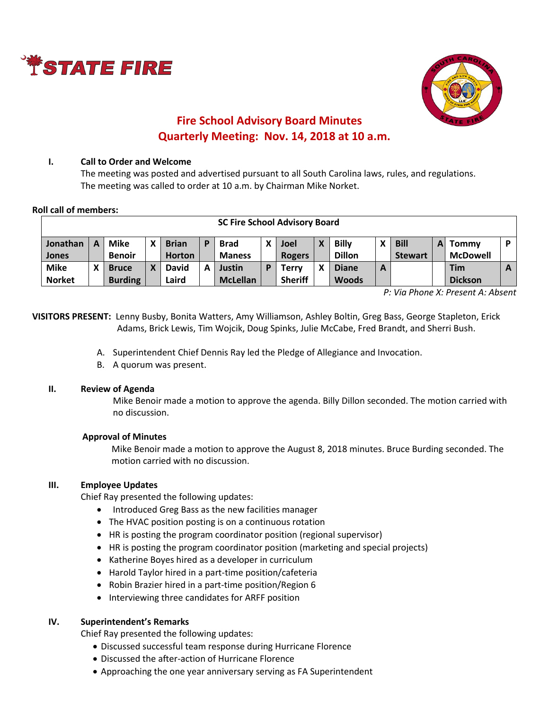



# **Fire School Advisory Board Minutes Quarterly Meeting: Nov. 14, 2018 at 10 a.m.**

#### **I. Call to Order and Welcome**

The meeting was posted and advertised pursuant to all South Carolina laws, rules, and regulations. The meeting was called to order at 10 a.m. by Chairman Mike Norket.

#### **Roll call of members:**

| <b>SC Fire School Advisory Board</b> |   |                                |   |                               |   |                              |   |                                |   |                               |   |                               |   |                              |              |
|--------------------------------------|---|--------------------------------|---|-------------------------------|---|------------------------------|---|--------------------------------|---|-------------------------------|---|-------------------------------|---|------------------------------|--------------|
| Jonathan<br>Jones                    | A | Mike<br><b>Benoir</b>          | χ | <b>Brian</b><br><b>Horton</b> | D | <b>Brad</b><br><b>Maness</b> | x | Joel<br><b>Rogers</b>          | X | <b>Billy</b><br><b>Dillon</b> |   | <b>Bill</b><br><b>Stewart</b> | A | Tommy<br><b>McDowell</b>     | <b>D</b>     |
| <b>Mike</b><br><b>Norket</b>         |   | <b>Bruce</b><br><b>Burding</b> | Χ | <b>David</b><br>Laird         | A | Justin<br><b>McLellan</b>    | D | <b>Terry</b><br><b>Sheriff</b> | X | <b>Diane</b><br><b>Woods</b>  | A |                               |   | <b>Tim</b><br><b>Dickson</b> | $\mathbf{A}$ |

*P: Via Phone X: Present A: Absent*

**VISITORS PRESENT:** Lenny Busby, Bonita Watters, Amy Williamson, Ashley Boltin, Greg Bass, George Stapleton, Erick Adams, Brick Lewis, Tim Wojcik, Doug Spinks, Julie McCabe, Fred Brandt, and Sherri Bush.

- A. Superintendent Chief Dennis Ray led the Pledge of Allegiance and Invocation.
- B. A quorum was present.

## **II. Review of Agenda**

Mike Benoir made a motion to approve the agenda. Billy Dillon seconded. The motion carried with no discussion.

## **Approval of Minutes**

Mike Benoir made a motion to approve the August 8, 2018 minutes. Bruce Burding seconded. The motion carried with no discussion.

## **III. Employee Updates**

Chief Ray presented the following updates:

- Introduced Greg Bass as the new facilities manager
- The HVAC position posting is on a continuous rotation
- HR is posting the program coordinator position (regional supervisor)
- HR is posting the program coordinator position (marketing and special projects)
- Katherine Boyes hired as a developer in curriculum
- Harold Taylor hired in a part-time position/cafeteria
- Robin Brazier hired in a part-time position/Region 6
- Interviewing three candidates for ARFF position

## **IV. Superintendent's Remarks**

Chief Ray presented the following updates:

- Discussed successful team response during Hurricane Florence
- Discussed the after-action of Hurricane Florence
- Approaching the one year anniversary serving as FA Superintendent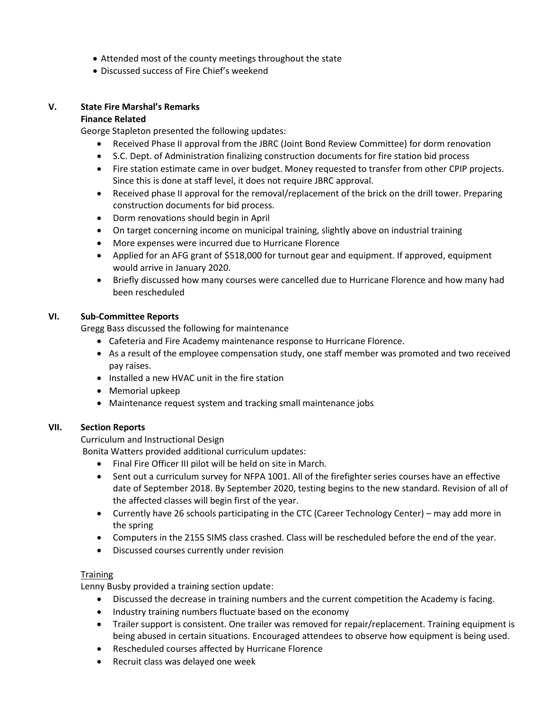- Attended most of the county meetings throughout the state
- Discussed success of Fire Chief's weekend

## **V. State Fire Marshal's Remarks**

## **Finance Related**

George Stapleton presented the following updates:

- Received Phase II approval from the JBRC (Joint Bond Review Committee) for dorm renovation
- S.C. Dept. of Administration finalizing construction documents for fire station bid process
- Fire station estimate came in over budget. Money requested to transfer from other CPIP projects. Since this is done at staff level, it does not require JBRC approval.
- Received phase II approval for the removal/replacement of the brick on the drill tower. Preparing construction documents for bid process.
- Dorm renovations should begin in April
- On target concerning income on municipal training, slightly above on industrial training
- More expenses were incurred due to Hurricane Florence
- Applied for an AFG grant of \$518,000 for turnout gear and equipment. If approved, equipment would arrive in January 2020.
- Briefly discussed how many courses were cancelled due to Hurricane Florence and how many had been rescheduled

## **VI. Sub-Committee Reports**

Gregg Bass discussed the following for maintenance

- Cafeteria and Fire Academy maintenance response to Hurricane Florence.
- As a result of the employee compensation study, one staff member was promoted and two received pay raises.
- Installed a new HVAC unit in the fire station
- Memorial upkeep
- Maintenance request system and tracking small maintenance jobs

## **VII. Section Reports**

Curriculum and Instructional Design

Bonita Watters provided additional curriculum updates:

- Final Fire Officer III pilot will be held on site in March.
- Sent out a curriculum survey for NFPA 1001. All of the firefighter series courses have an effective date of September 2018. By September 2020, testing begins to the new standard. Revision of all of the affected classes will begin first of the year.
- Currently have 26 schools participating in the CTC (Career Technology Center) may add more in the spring
- Computers in the 2155 SIMS class crashed. Class will be rescheduled before the end of the year.
- Discussed courses currently under revision

## **Training**

Lenny Busby provided a training section update:

- Discussed the decrease in training numbers and the current competition the Academy is facing.
- Industry training numbers fluctuate based on the economy
- Trailer support is consistent. One trailer was removed for repair/replacement. Training equipment is being abused in certain situations. Encouraged attendees to observe how equipment is being used.
- Rescheduled courses affected by Hurricane Florence
- Recruit class was delayed one week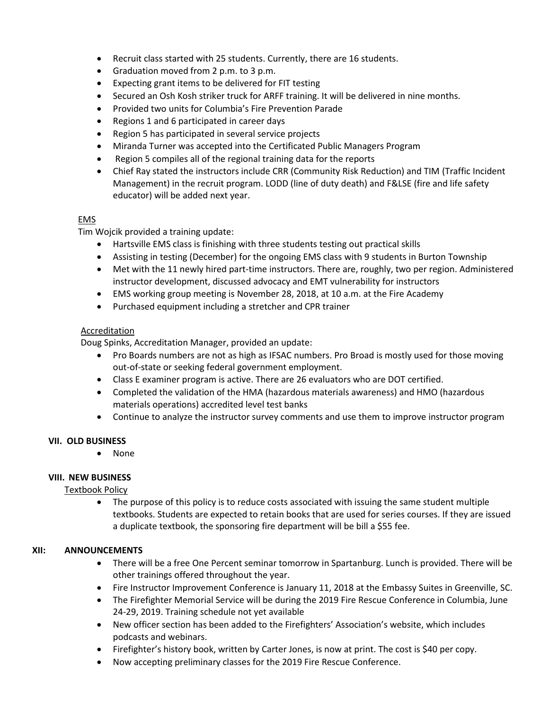- Recruit class started with 25 students. Currently, there are 16 students.
- Graduation moved from 2 p.m. to 3 p.m.
- Expecting grant items to be delivered for FIT testing
- Secured an Osh Kosh striker truck for ARFF training. It will be delivered in nine months.
- Provided two units for Columbia's Fire Prevention Parade
- Regions 1 and 6 participated in career days
- Region 5 has participated in several service projects
- Miranda Turner was accepted into the Certificated Public Managers Program
- Region 5 compiles all of the regional training data for the reports
- Chief Ray stated the instructors include CRR (Community Risk Reduction) and TIM (Traffic Incident Management) in the recruit program. LODD (line of duty death) and F&LSE (fire and life safety educator) will be added next year.

## EMS

Tim Wojcik provided a training update:

- Hartsville EMS class is finishing with three students testing out practical skills
- Assisting in testing (December) for the ongoing EMS class with 9 students in Burton Township
- Met with the 11 newly hired part-time instructors. There are, roughly, two per region. Administered instructor development, discussed advocacy and EMT vulnerability for instructors
- EMS working group meeting is November 28, 2018, at 10 a.m. at the Fire Academy
- Purchased equipment including a stretcher and CPR trainer

## Accreditation

Doug Spinks, Accreditation Manager, provided an update:

- Pro Boards numbers are not as high as IFSAC numbers. Pro Broad is mostly used for those moving out-of-state or seeking federal government employment.
- Class E examiner program is active. There are 26 evaluators who are DOT certified.
- Completed the validation of the HMA (hazardous materials awareness) and HMO (hazardous materials operations) accredited level test banks
- Continue to analyze the instructor survey comments and use them to improve instructor program

## **VII. OLD BUSINESS**

• None

## **VIII. NEW BUSINESS**

## Textbook Policy

• The purpose of this policy is to reduce costs associated with issuing the same student multiple textbooks. Students are expected to retain books that are used for series courses. If they are issued a duplicate textbook, the sponsoring fire department will be bill a \$55 fee.

## **XII: ANNOUNCEMENTS**

- There will be a free One Percent seminar tomorrow in Spartanburg. Lunch is provided. There will be other trainings offered throughout the year.
- Fire Instructor Improvement Conference is January 11, 2018 at the Embassy Suites in Greenville, SC.
- The Firefighter Memorial Service will be during the 2019 Fire Rescue Conference in Columbia, June 24-29, 2019. Training schedule not yet available
- New officer section has been added to the Firefighters' Association's website, which includes podcasts and webinars.
- Firefighter's history book, written by Carter Jones, is now at print. The cost is \$40 per copy.
- Now accepting preliminary classes for the 2019 Fire Rescue Conference.